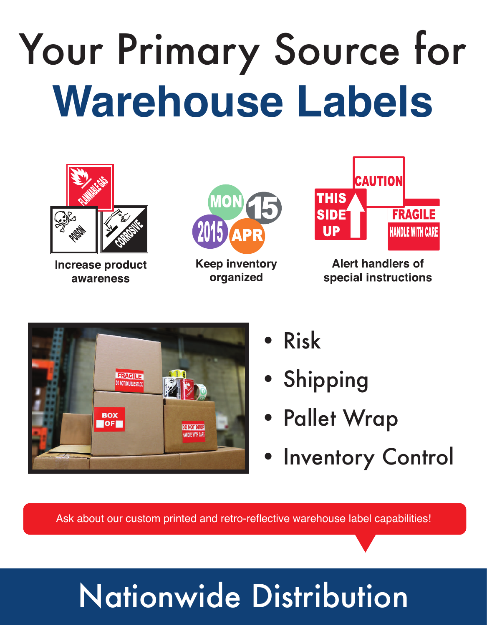## Your Primary Source for **Warehouse Labels**



**Increase product** awareness



**Keep inventory** organized



**Alert handlers of** special instructions



- Risk
- **Shipping**
- Pallet Wrap
- Inventory Control

Ask about our custom printed and retro-reflective warehouse label capabilities!

## Nationwide Distribution